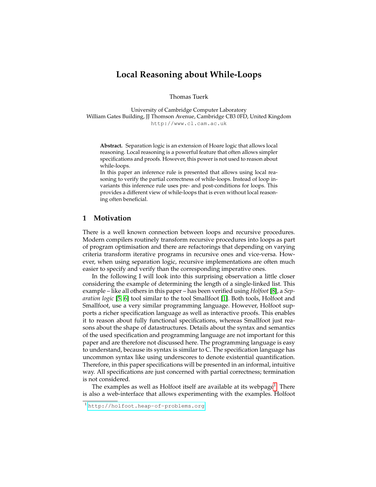# **Local Reasoning about While-Loops**

Thomas Tuerk

University of Cambridge Computer Laboratory William Gates Building, JJ Thomson Avenue, Cambridge CB3 0FD, United Kingdom http://www.cl.cam.ac.uk

**Abstract.** Separation logic is an extension of Hoare logic that allows local reasoning. Local reasoning is a powerful feature that often allows simpler specifications and proofs. However, this power is not used to reason about while-loops.

In this paper an inference rule is presented that allows using local reasoning to verify the partial correctness of while-loops. Instead of loop invariants this inference rule uses pre- and post-conditions for loops. This provides a different view of while-loops that is even without local reasoning often beneficial.

# **1 Motivation**

There is a well known connection between loops and recursive procedures. Modern compilers routinely transform recursive procedures into loops as part of program optimisation and there are refactorings that depending on varying criteria transform iterative programs in recursive ones and vice-versa. However, when using separation logic, recursive implementations are often much easier to specify and verify than the corresponding imperative ones.

In the following I will look into this surprising observation a little closer considering the example of determining the length of a single-linked list. This example – like all others in this paper – has been verified using *Holfoot* [\[8\]](#page-10-0), a *Separation logic* [\[5,](#page-10-1) [6\]](#page-10-2) tool similar to the tool Smallfoot [\[1\]](#page-10-3). Both tools, Holfoot and Smallfoot, use a very similar programming language. However, Holfoot supports a richer specification language as well as interactive proofs. This enables it to reason about fully functional specifications, whereas Smallfoot just reasons about the shape of datastructures. Details about the syntax and semantics of the used specification and programming language are not important for this paper and are therefore not discussed here. The programming language is easy to understand, because its syntax is similar to C. The specification language has uncommon syntax like using underscores to denote existential quantification. Therefore, in this paper specifications will be presented in an informal, intuitive way. All specifications are just concerned with partial correctness; termination is not considered.

The examples as well as Holfoot itself are available at its webpage<sup>[1](#page-0-0)</sup>. There is also a web-interface that allows experimenting with the examples. Holfoot

<span id="page-0-0"></span><sup>1</sup> <http://holfoot.heap-of-problems.org>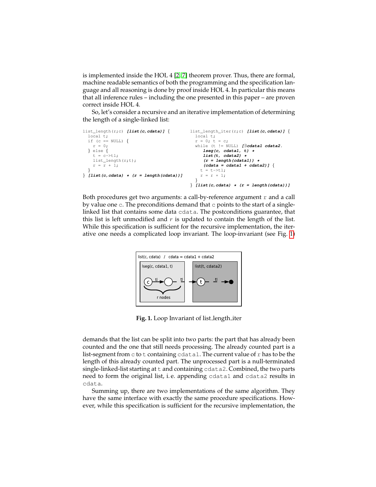is implemented inside the HOL 4 [\[2,](#page-10-4) [7\]](#page-10-5) theorem prover. Thus, there are formal, machine readable semantics of both the programming and the specification language and all reasoning is done by proof inside HOL 4. In particular this means that all inference rules – including the one presented in this paper – are proven correct inside HOL 4.

So, let's consider a recursive and an iterative implementation of determining the length of a single-linked list:

```
list_length(r;c) [list(c,cdata)] {
  local t;
 if (c == NULL) {
   r = 0;} else {
   t = c->tl;
   list_length(r;t);
   r = r + 1;}
} [list(c,cdata) * (r = length(cdata))]
                                         list_length_iter(r;c) [list(c,cdata)] {
                                           local t;
                                           r = 0; t = c;while (t != NULL) [∃cdata1 cdata2.
                                            lseg(c, cdata1, t) *
                                             list(t, cdata2) *
                                             (r = length(cdata1)) *
                                              (cdata = cdata1 + cdata2)] {
                                             t = t - tr = r + 1;}
                                         } [list(c,cdata) * (r = length(cdata))]
```
Both procedures get two arguments: a call-by-reference argument  $r$  and a call by value one c. The preconditions demand that c points to the start of a singlelinked list that contains some data cdata. The postconditions guarantee, that this list is left unmodified and  $r$  is updated to contain the length of the list. While this specification is sufficient for the recursive implementation, the iterative one needs a complicated loop invariant. The loop-invariant (see Fig. [1\)](#page-1-0)



<span id="page-1-0"></span>**Fig. 1.** Loop Invariant of list length iter

demands that the list can be split into two parts: the part that has already been counted and the one that still needs processing. The already counted part is a list-segment from c to t containing cdata1. The current value of  $r$  has to be the length of this already counted part. The unprocessed part is a null-terminated single-linked-list starting at t and containing cdata2. Combined, the two parts need to form the original list, i.e. appending cdata1 and cdata2 results in cdata.

Summing up, there are two implementations of the same algorithm. They have the same interface with exactly the same procedure specifications. However, while this specification is sufficient for the recursive implementation, the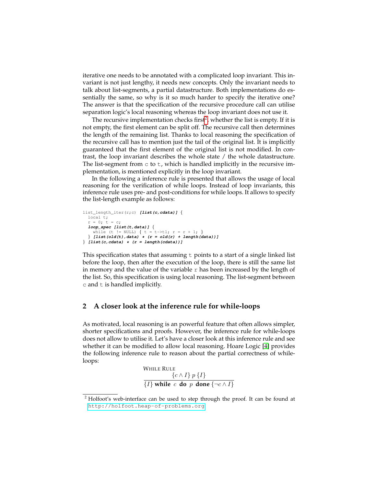iterative one needs to be annotated with a complicated loop invariant. This invariant is not just lengthy, it needs new concepts. Only the invariant needs to talk about list-segments, a partial datastructure. Both implementations do essentially the same, so why is it so much harder to specify the iterative one? The answer is that the specification of the recursive procedure call can utilise separation logic's local reasoning whereas the loop invariant does not use it.

The recursive implementation checks first<sup>[2](#page-2-0)</sup>, whether the list is empty. If it is not empty, the first element can be split off. The recursive call then determines the length of the remaining list. Thanks to local reasoning the specification of the recursive call has to mention just the tail of the original list. It is implicitly guaranteed that the first element of the original list is not modified. In contrast, the loop invariant describes the whole state / the whole datastructure. The list-segment from  $\circ$  to  $\circ$ , which is handled implicitly in the recursive implementation, is mentioned explicitly in the loop invariant.

In the following a inference rule is presented that allows the usage of local reasoning for the verification of while loops. Instead of loop invariants, this inference rule uses pre- and post-conditions for while loops. It allows to specify the list-length example as follows:

```
list_length_iter(r;c) [list(c,cdata)] {
  local t;
  r = 0; t = c;loop_spec [list(t,data)] {
   while (t != NULL) { t = t ->tl; r = r + 1; }
   } [list(old(t),data) * (r = old(r) + length(data))]
} [list(c,cdata) * (r = length(cdata))]
```
This specification states that assuming  $t$  points to a start of a single linked list before the loop, then after the execution of the loop, there is still the same list in memory and the value of the variable  $r$  has been increased by the length of the list. So, this specification is using local reasoning. The list-segment between  $c$  and  $t$  is handled implicitly.

## **2 A closer look at the inference rule for while-loops**

As motivated, local reasoning is an powerful feature that often allows simpler, shorter specifications and proofs. However, the inference rule for while-loops does not allow to utilise it. Let's have a closer look at this inference rule and see whether it can be modified to allow local reasoning. Hoare Logic [\[4\]](#page-10-6) provides the following inference rule to reason about the partial correctness of whileloops:

> WHILE RULE  $\{c \wedge I\} p \{I\}$  $\{I\}$  while c **do** p **done**  $\{\neg c \land I\}$

<span id="page-2-0"></span><sup>&</sup>lt;sup>2</sup> Holfoot's web-interface can be used to step through the proof. It can be found at <http://holfoot.heap-of-problems.org>.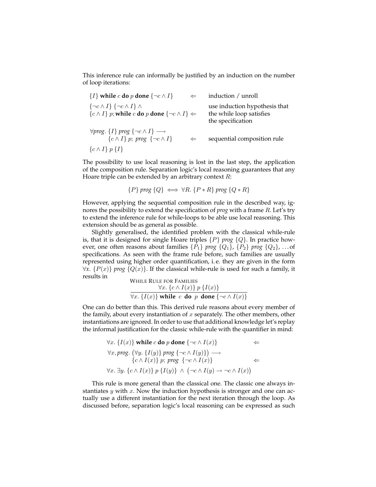This inference rule can informally be justified by an induction on the number of loop iterations:

 ${I}$  **while** c **do** p **done**  ${\neg c \land I}$   $\Leftarrow$  **induction** / **unroll**  ${\neg c \land I}$  {¬c  $\land I$ }  $\land$  use induction hypothesis that  $\{c \wedge I\}$  p; **while** c **do** p **done**  $\{\neg c \wedge I\} \Leftarrow$  the while loop satisfies the specification  $\forall prog$ . {*I*} *prog* {¬*c* ∧ *I*} →<br>{*c* ∧ *I*} *p*; *prog* {¬*c* ∧ *I*} {c ∧ I} p; *prog* {¬c ∧ I} ⇐ sequential composition rule  $\{c \wedge I\} p \{I\}$ 

The possibility to use local reasoning is lost in the last step, the application of the composition rule. Separation logic's local reasoning guarantees that any Hoare triple can be extended by an arbitrary context  $R$ :

$$
{P} \text{prog } {Q} \iff \forall R. {P * R} \text{prog } {Q * R}
$$

However, applying the sequential composition rule in the described way, ignores the possibility to extend the specification of *prog* with a frame R. Let's try to extend the inference rule for while-loops to be able use local reasoning. This extension should be as general as possible.

Slightly generalised, the identified problem with the classical while-rule is, that it is designed for single Hoare triples {P} *prog* {Q}. In practice however, one often reasons about families  $\{P_1\}$  *prog*  $\{Q_1\}$ ,  $\{P_2\}$  *prog*  $\{Q_2\}$ , ... of specifications. As seen with the frame rule before, such families are usually represented using higher order quantification, i. e. they are given in the form  $\forall x. \{P(x)\}\$ *prog*  $\{Q(x)\}\$ . If the classical while-rule is used for such a family, it results in WHILE **DULE FOR EAMILIES** 

While KULE FOR FAMILIES

\n
$$
\frac{\forall x. \{c \land I(x)\} p \{I(x)\}}{\forall x. \{I(x)\} \text{ while } c \text{ do } p \text{ done } \{\neg c \land I(x)\}}
$$

One can do better than this. This derived rule reasons about every member of the family, about every instantiation of  $x$  separately. The other members, other instantiations are ignored. In order to use that additional knowledge let's replay the informal justification for the classic while-rule with the quantifier in mind:

$$
\forall x. \{I(x)\} \text{ while } c \text{ do } p \text{ done } \{\neg c \land I(x)\} \Leftarrow
$$
  

$$
\forall x. prog. \left(\forall y. \{I(y)\} \text{ prog } \{\neg c \land I(y)\}\right) \longrightarrow
$$
  

$$
\{c \land I(x)\} \text{ p; prog } \{\neg c \land I(x)\}
$$
  

$$
\forall x. \exists y. \{c \land I(x)\} \text{ p} \{I(y)\} \land (\neg c \land I(y) \rightarrow \neg c \land I(x))
$$

This rule is more general than the classical one. The classic one always instantiates  $y$  with  $x$ . Now the induction hypothesis is stronger and one can actually use a different instantiation for the next iteration through the loop. As discussed before, separation logic's local reasoning can be expressed as such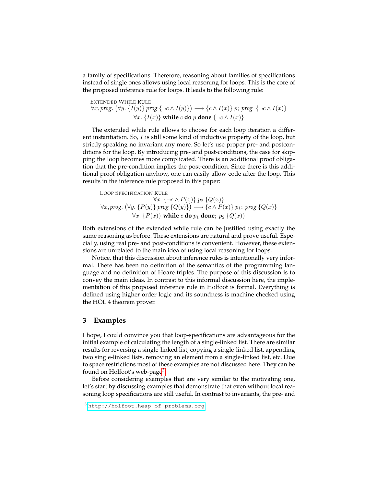a family of specifications. Therefore, reasoning about families of specifications instead of single ones allows using local reasoning for loops. This is the core of the proposed inference rule for loops. It leads to the following rule:

**extENDED WHICH RULE**  
\n
$$
\forall x, prog. (\forall y. \{I(y)\} \text{ prog } \{\neg c \land I(y)\}) \longrightarrow \{c \land I(x)\} \text{ p; prog } \{\neg c \land I(x)\}
$$
\n
$$
\forall x. \{I(x)\} \text{ while } c \text{ do } p \text{ done } \{\neg c \land I(x)\}
$$

The extended while rule allows to choose for each loop iteration a different instantiation. So, I is still some kind of inductive property of the loop, but strictly speaking no invariant any more. So let's use proper pre- and postconditions for the loop. By introducing pre- and post-conditions, the case for skipping the loop becomes more complicated. There is an additional proof obligation that the pre-condition implies the post-condition. Since there is this additional proof obligation anyhow, one can easily allow code after the loop. This results in the inference rule proposed in this paper:

Loop SPECTFICATION RULE

\n
$$
\forall x. \{\neg c \land P(x)\} \ p_2 \{Q(x)\}
$$
\n
$$
\forall x. \text{prog. } (\forall y. \{P(y)\} \text{ prog } \{Q(y)\}) \longrightarrow \{c \land P(x)\} \ p_1; \text{ prog } \{Q(x)\}
$$
\n
$$
\forall x. \{P(x)\} \text{ while } c \text{ do } p_1 \text{ done; } p_2 \{Q(x)\}
$$

Both extensions of the extended while rule can be justified using exactly the same reasoning as before. These extensions are natural and prove useful. Especially, using real pre- and post-conditions is convenient. However, these extensions are unrelated to the main idea of using local reasoning for loops.

Notice, that this discussion about inference rules is intentionally very informal. There has been no definition of the semantics of the programming language and no definition of Hoare triples. The purpose of this discussion is to convey the main ideas. In contrast to this informal discussion here, the implementation of this proposed inference rule in Holfoot is formal. Everything is defined using higher order logic and its soundness is machine checked using the HOL 4 theorem prover.

## **3 Examples**

I hope, I could convince you that loop-specifications are advantageous for the initial example of calculating the length of a single-linked list. There are similar results for reversing a single-linked list, copying a single-linked list, appending two single-linked lists, removing an element from a single-linked list, etc. Due to space restrictions most of these examples are not discussed here. They can be found on Holfoot's web-page<sup>[3](#page-4-0)</sup>.

Before considering examples that are very similar to the motivating one, let's start by discussing examples that demonstrate that even without local reasoning loop specifications are still useful. In contrast to invariants, the pre- and

<span id="page-4-0"></span><sup>3</sup> <http://holfoot.heap-of-problems.org>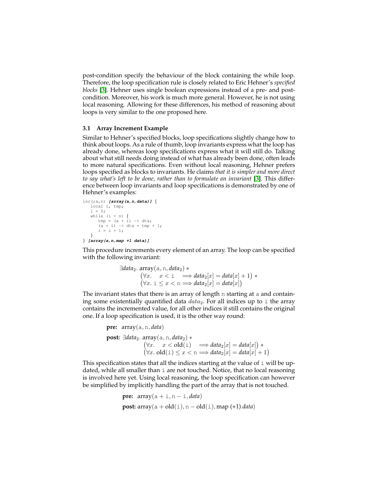post-condition specify the behaviour of the block containing the while loop. Therefore, the loop specification rule is closely related to Eric Hehner's *specified blocks* [\[3\]](#page-10-7). Hehner uses single boolean expressions instead of a pre- and postcondition. Moreover, his work is much more general. However, he is not using local reasoning. Allowing for these differences, his method of reasoning about loops is very similar to the one proposed here.

## **3.1 Array Increment Example**

Similar to Hehner's specified blocks, loop specifications slightly change how to think about loops. As a rule of thumb, loop invariants express what the loop has already done, whereas loop specifications express what it will still do. Talking about what still needs doing instead of what has already been done, often leads to more natural specifications. Even without local reasoning, Hehner prefers loops specified as blocks to invariants. He claims *that it is simpler and more direct to say what's left to be done, rather than to formulate an invariant* [\[3\]](#page-10-7). This difference between loop invariants and loop specifications is demonstrated by one of Hehner's examples:

```
inc(;a,n) [array(a,n,data)] {
  local i, tmp;
   i = 0;while (i < n) {
     tmp = (a + i) \rightarrow dta;(a + i) -> dta = tmp + 1;
      i = i + 1;}
} [array(a,n,map +1 data)]
```
This procedure increments every element of an array. The loop can be specified with the following invariant:

```
∃data2. array(a, n, data2) ∗
            (\forall x. \quad x < i \quad \Longrightarrow data_2[x] = data[x] + 1) *(\forall x. \ i \leq x < n \Longrightarrow data_2[x] = data[x])
```
The invariant states that there is an array of length n starting at a and containing some existentially quantified data  $data_2$ . For all indices up to i the array contains the incremented value, for all other indices it still contains the original one. If a loop specification is used, it is the other way round:

```
pre: array(a, n, data)
post: ∃data2. array(a, n, data2) ∗
                    (\forall x. \quad x < old{old}(i) \quad \Longrightarrow data_2[x] = data[x])(\forall x. \text{ old}(i) \leq x < n \Longrightarrow data_2[x] = data[x] + 1)
```
This specification states that all the indices starting at the value of  $\pm$  will be updated, while all smaller than i are not touched. Notice, that no local reasoning is involved here yet. Using local reasoning, the loop specification can however be simplified by implicitly handling the part of the array that is not touched.

```
pre: \arctan(\mathbf{a} + \mathbf{i}, \mathbf{n} - \mathbf{i}, \text{data})post: array(a + old(i), n - old(i), map (+1) data)
```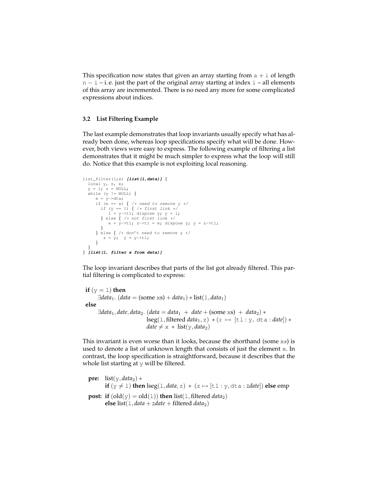This specification now states that given an array starting from  $a + i$  of length n − i – i. e. just the part of the original array starting at index i – all elements of this array are incremented. There is no need any more for some complicated expressions about indices.

## **3.2 List Filtering Example**

The last example demonstrates that loop invariants usually specify what has already been done, whereas loop specifications specify what will be done. However, both views were easy to express. The following example of filtering a list demonstrates that it might be much simpler to express what the loop will still do. Notice that this example is not exploiting local reasoning.

```
list_filter(l;x) [list(l,data)] {
   \begin{align*}\n \text{local } y, z, e; \\
 y = 1; z = \text{NULL};\n \end{align*}while (y := NULL) {
        e = y->dta;
if (e == x) { /* need to remove y */
           if (y == 1) \{\n \n \times \text{first link } \times \text{ / } \}<br>
1 = y \rightarrow t1; dispose y; y = 1;} else { /* not first link */
             e = y->tl; z->tl = e; dispose y; y = z->tl;
        }
} else { /* don't need to remove y */
          z = y; y = y->tl;
       }
   }
} [list(l, filter x from data)]
```
The loop invariant describes that parts of the list got already filtered. This partial filtering is complicated to express:

```
if (y = 1) then
      \exists data_1. (data = (some xs) + data<sub>1</sub>) * list(1, data<sub>1</sub>)
else
      \exists data_1, date, data_2. (data = data_1 + date + (some xs) + data_2) *
                                 \text{leg}(1, \text{filtered data}_1, z) * (z \mapsto [\text{tl}: y, \text{d}ta : \text{date}]) *date \neq x * list(y, data_2)
```
This invariant is even worse than it looks, because the shorthand (some xs) is used to denote a list of unknown length that consists of just the element x. In contrast, the loop specification is straightforward, because it describes that the whole list starting at  $y$  will be filtered.

```
pre: list(y, data<sub>2</sub>) *if (y \neq 1) then \text{leg}(1, data, z) * (z \mapsto [t1 : y, dta : zdate]) else emp
post: if (\text{old}(y) = \text{old}(1)) then \text{list}(1, \text{filtered data}_2)else list(1, data + zdate + filtered data<sub>2</sub>)
```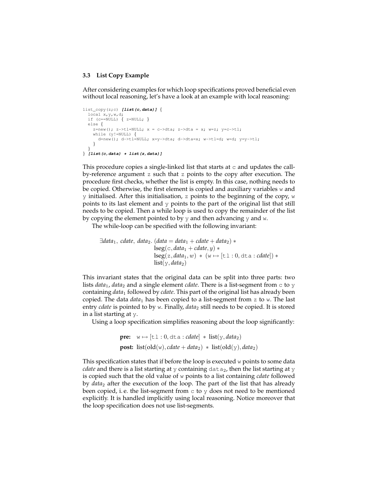#### **3.3 List Copy Example**

After considering examples for which loop specifications proved beneficial even without local reasoning, let's have a look at an example with local reasoning:

```
list_copy(z;c) [list(c,data)] {
  local x, y, w, d;<br>if (c==NULL) { z=NULL; }
  else {
    z=new(); z->tl=NULL; x = c->dta; z->dta = x; w=z; y=c->tl;
    while (y!=NULL) {
      d=new(); d->tl=NULL; x=y->dta; d->dta=x; w->tl=d; w=d; y=y->tl;
    }
  }
} [list(c,data) * list(z,data)]
```
This procedure copies a single-linked list that starts at  $\sigma$  and updates the callby-reference argument z such that z points to the copy after execution. The procedure first checks, whether the list is empty. In this case, nothing needs to be copied. Otherwise, the first element is copied and auxiliary variables w and y initialised. After this initialisation, z points to the beginning of the copy,  $w$ points to its last element and y points to the part of the original list that still needs to be copied. Then a while loop is used to copy the remainder of the list by copying the element pointed to by  $y$  and then advancing  $y$  and  $w$ .

The while-loop can be specified with the following invariant:

```
\existsdata<sub>1</sub>, cdate, data<sub>2</sub>. (data = data<sub>1</sub> + cdate + data<sub>2</sub>) *
                                      \text{lseg}(c, data_1 + \text{cdate}, y) *\text{leg}(z, data_1, w) * (w \mapsto [\text{tl} : 0, \text{d} \text{ta} : \text{cdate}]) *list(y, data_2)
```
This invariant states that the original data can be split into three parts: two lists *data*<sub>1</sub>, *data*<sub>2</sub> and a single element *cdate*. There is a list-segment from  $\circ$  to  $\circ$ containing *data*<sup>1</sup> followed by *cdate*. This part of the original list has already been copied. The data *data*<sup>1</sup> has been copied to a list-segment from z to w. The last entry *cdate* is pointed to by w. Finally, *data*<sub>2</sub> still needs to be copied. It is stored in a list starting at y.

Using a loop specification simplifies reasoning about the loop significantly:

```
pre: w \mapsto [t\mathbf{1} : 0, dt\mathbf{a} : cdate] * \mathbf{list}(y, data_2)post: list(old(w), cdate + data<sub>2</sub>) * list(old(y), data<sub>2</sub>)
```
This specification states that if before the loop is executed  $w$  points to some data *cdate* and there is a list starting at y containing  $data<sub>2</sub>$ , then the list starting at y is copied such that the old value of w points to a list containing *cdate* followed by *data*<sup>2</sup> after the execution of the loop. The part of the list that has already been copied, i.e. the list-segment from  $\sigma$  to y does not need to be mentioned explicitly. It is handled implicitly using local reasoning. Notice moreover that the loop specification does not use list-segments.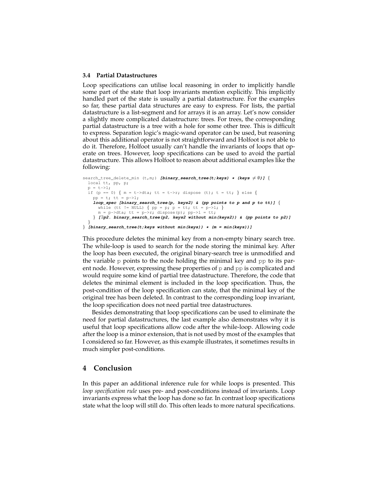#### **3.4 Partial Datastructures**

Loop specifications can utilise local reasoning in order to implicitly handle some part of the state that loop invariants mention explicitly. This implicitly handled part of the state is usually a partial datastructure. For the examples so far, these partial data structures are easy to express. For lists, the partial datastructure is a list-segment and for arrays it is an array. Let's now consider a slightly more complicated datastructure: trees. For trees, the corresponding partial datastructure is a tree with a hole for some other tree. This is difficult to express. Separation logic's magic-wand operator can be used, but reasoning about this additional operator is not straightforward and Holfoot is not able to do it. Therefore, Holfoot usually can't handle the invariants of loops that operate on trees. However, loop specifications can be used to avoid the partial datastructure. This allows Holfoot to reason about additional examples like the following:

```
search_tree_delete_min (t,m;) [binary_search_tree(t;keys) * (keys ≠ Ø)] {
  local tt, pp, p;
 p = t - 1;if (p == 0) { m = t->dta; tt = t->r; dispose (t); t = tt; } else {
    pp = t; tt = p->1;loop_spec [binary_search_tree(p, keys2) & (pp points to p and p to tt)] {
      while (tt != NULL) { pp = p; p = tt; tt = p->1; }
      m = p->dta; tt = p->r; dispose(p); pp->1 = tt;
    } [∃p2. binary_search_tree(p2, keys2 without min(keys2)) & (pp points to p2)]
  }
```

```
} [binary_search_tree(t;keys without min(keys)) * (m = min(keys))]
```
This procedure deletes the minimal key from a non-empty binary search tree. The while-loop is used to search for the node storing the minimal key. After the loop has been executed, the original binary-search tree is unmodified and the variable  $p$  points to the node holding the minimal key and  $pp$  to its parent node. However, expressing these properties of  $p$  and  $pp$  is complicated and would require some kind of partial tree datastructure. Therefore, the code that deletes the minimal element is included in the loop specification. Thus, the post-condition of the loop specification can state, that the minimal key of the original tree has been deleted. In contrast to the corresponding loop invariant, the loop specification does not need partial tree datastructures.

Besides demonstrating that loop specifications can be used to eliminate the need for partial datastructures, the last example also demonstrates why it is useful that loop specifications allow code after the while-loop. Allowing code after the loop is a minor extension, that is not used by most of the examples that I considered so far. However, as this example illustrates, it sometimes results in much simpler post-conditions.

## **4 Conclusion**

In this paper an additional inference rule for while loops is presented. This *loop specification rule* uses pre- and post-conditions instead of invariants. Loop invariants express what the loop has done so far. In contrast loop specifications state what the loop will still do. This often leads to more natural specifications.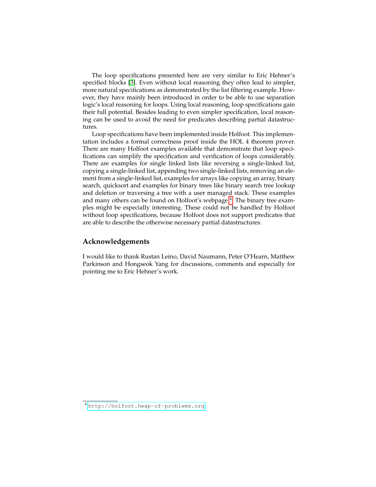The loop specifications presented here are very similar to Eric Hehner's specified blocks [\[3\]](#page-10-7). Even without local reasoning they often lead to simpler, more natural specifications as demonstrated by the list filtering example. However, they have mainly been introduced in order to be able to use separation logic's local reasoning for loops. Using local reasoning, loop specifications gain their full potential. Besides leading to even simpler specification, local reasoning can be used to avoid the need for predicates describing partial datastructures.

Loop specifications have been implemented inside Holfoot. This implementation includes a formal correctness proof inside the HOL 4 theorem prover. There are many Holfoot examples available that demonstrate that loop specifications can simplify the specification and verification of loops considerably. There are examples for single linked lists like reversing a single-linked list, copying a single-linked list, appending two single-linked lists, removing an element from a single-linked list, examples for arrays like copying an array, binary search, quicksort and examples for binary trees like binary search tree lookup and deletion or traversing a tree with a user managed stack. These examples and many others can be found on Holfoot's webpage <sup>[4](#page-9-0)</sup>. The binary tree examples might be especially interesting. These could not be handled by Holfoot without loop specifications, because Holfoot does not support predicates that are able to describe the otherwise necessary partial datastructures.

## **Acknowledgements**

I would like to thank Rustan Leino, David Naumann, Peter O'Hearn, Matthew Parkinson and Hongseok Yang for discussions, comments and especially for pointing me to Eric Hehner's work.

<span id="page-9-0"></span><sup>4</sup> <http://holfoot.heap-of-problems.org>